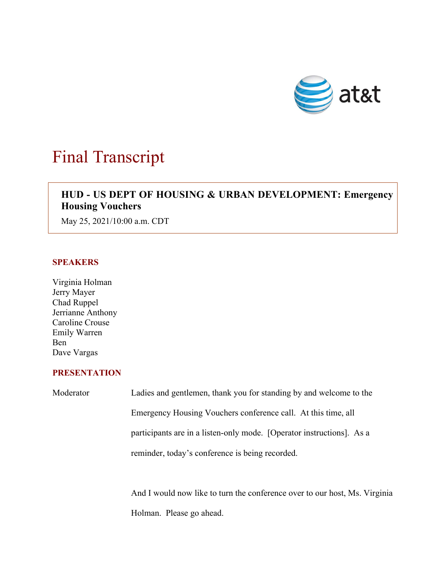

# Final Transcript

# $\overline{\phantom{a}}$ **HUD - US DEPT OF HOUSING & URBAN DEVELOPMENT: Emergency Housing Vouchers**

May 25, 2021/10:00 a.m. CDT

## **SPEAKERS**

Virginia Holman Jerry Mayer Chad Ruppel Jerrianne Anthony Caroline Crouse Emily Warren Ben Dave Vargas

### **PRESENTATION**

| Moderator | Ladies and gentlemen, thank you for standing by and welcome to the         |
|-----------|----------------------------------------------------------------------------|
|           | Emergency Housing Vouchers conference call. At this time, all              |
|           | participants are in a listen-only mode. [Operator instructions]. As a      |
|           | reminder, today's conference is being recorded.                            |
|           |                                                                            |
|           | And I would now like to turn the conference over to our host, Ms. Virginia |

Holman. Please go ahead.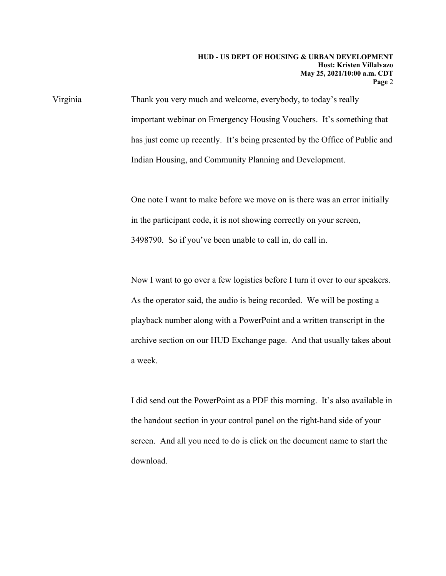Virginia Thank you very much and welcome, everybody, to today's really important webinar on Emergency Housing Vouchers. It's something that has just come up recently. It's being presented by the Office of Public and Indian Housing, and Community Planning and Development.

> One note I want to make before we move on is there was an error initially in the participant code, it is not showing correctly on your screen, 3498790. So if you've been unable to call in, do call in.

> Now I want to go over a few logistics before I turn it over to our speakers. As the operator said, the audio is being recorded. We will be posting a playback number along with a PowerPoint and a written transcript in the archive section on our HUD Exchange page. And that usually takes about a week.

> I did send out the PowerPoint as a PDF this morning. It's also available in the handout section in your control panel on the right-hand side of your screen. And all you need to do is click on the document name to start the download.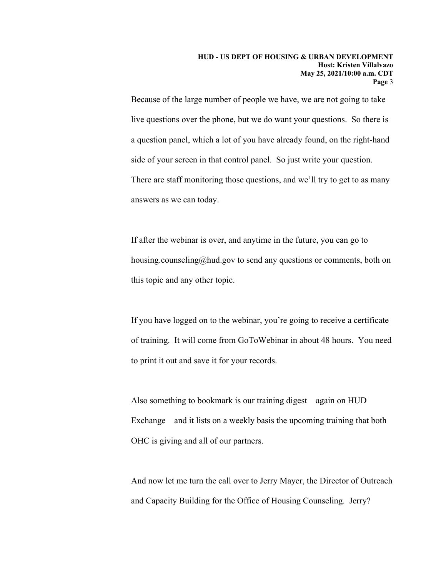Because of the large number of people we have, we are not going to take live questions over the phone, but we do want your questions. So there is a question panel, which a lot of you have already found, on the right-hand side of your screen in that control panel. So just write your question. There are staff monitoring those questions, and we'll try to get to as many answers as we can today.

If after the webinar is over, and anytime in the future, you can go to housing.counseling@hud.gov to send any questions or comments, both on this topic and any other topic.

If you have logged on to the webinar, you're going to receive a certificate of training. It will come from GoToWebinar in about 48 hours. You need to print it out and save it for your records.

Also something to bookmark is our training digest—again on HUD Exchange—and it lists on a weekly basis the upcoming training that both OHC is giving and all of our partners.

And now let me turn the call over to Jerry Mayer, the Director of Outreach and Capacity Building for the Office of Housing Counseling. Jerry?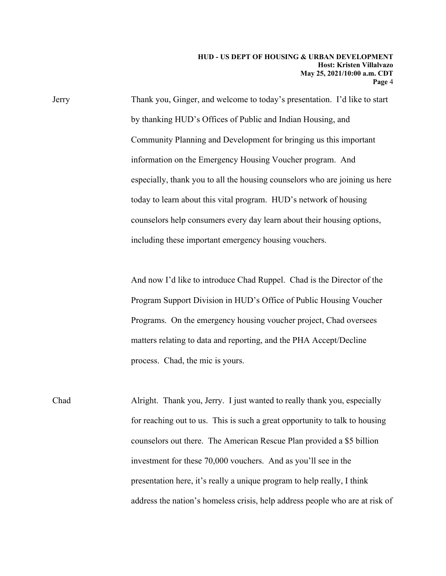Jerry Thank you, Ginger, and welcome to today's presentation. I'd like to start by thanking HUD's Offices of Public and Indian Housing, and Community Planning and Development for bringing us this important information on the Emergency Housing Voucher program. And especially, thank you to all the housing counselors who are joining us here today to learn about this vital program. HUD's network of housing counselors help consumers every day learn about their housing options, including these important emergency housing vouchers.

> And now I'd like to introduce Chad Ruppel. Chad is the Director of the Program Support Division in HUD's Office of Public Housing Voucher Programs. On the emergency housing voucher project, Chad oversees matters relating to data and reporting, and the PHA Accept/Decline process. Chad, the mic is yours.

Chad Alright. Thank you, Jerry. I just wanted to really thank you, especially for reaching out to us. This is such a great opportunity to talk to housing counselors out there. The American Rescue Plan provided a \$5 billion investment for these 70,000 vouchers. And as you'll see in the presentation here, it's really a unique program to help really, I think address the nation's homeless crisis, help address people who are at risk of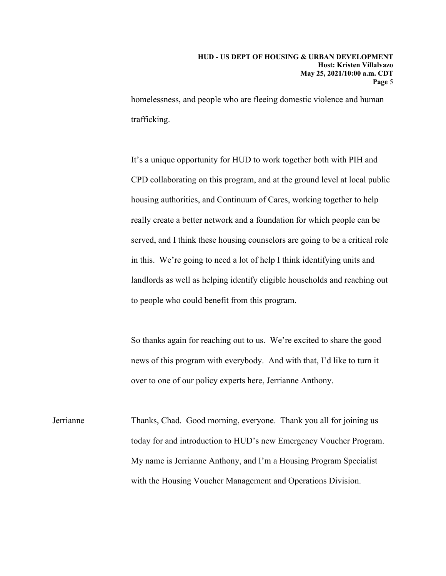homelessness, and people who are fleeing domestic violence and human trafficking.

It's a unique opportunity for HUD to work together both with PIH and CPD collaborating on this program, and at the ground level at local public housing authorities, and Continuum of Cares, working together to help really create a better network and a foundation for which people can be served, and I think these housing counselors are going to be a critical role in this. We're going to need a lot of help I think identifying units and landlords as well as helping identify eligible households and reaching out to people who could benefit from this program.

So thanks again for reaching out to us. We're excited to share the good news of this program with everybody. And with that, I'd like to turn it over to one of our policy experts here, Jerrianne Anthony.

Jerrianne Thanks, Chad. Good morning, everyone. Thank you all for joining us today for and introduction to HUD's new Emergency Voucher Program. My name is Jerrianne Anthony, and I'm a Housing Program Specialist with the Housing Voucher Management and Operations Division.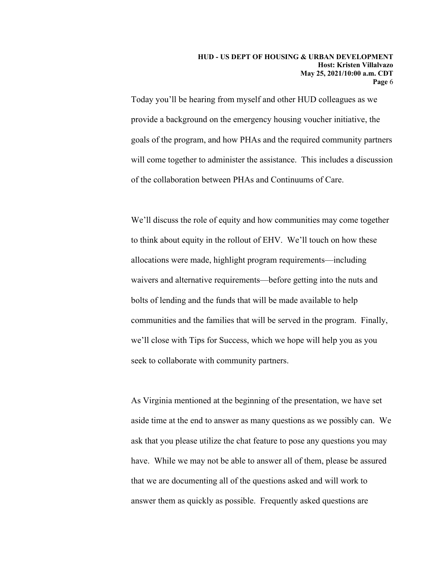Today you'll be hearing from myself and other HUD colleagues as we provide a background on the emergency housing voucher initiative, the goals of the program, and how PHAs and the required community partners will come together to administer the assistance. This includes a discussion of the collaboration between PHAs and Continuums of Care.

We'll discuss the role of equity and how communities may come together to think about equity in the rollout of EHV. We'll touch on how these allocations were made, highlight program requirements—including waivers and alternative requirements—before getting into the nuts and bolts of lending and the funds that will be made available to help communities and the families that will be served in the program. Finally, we'll close with Tips for Success, which we hope will help you as you seek to collaborate with community partners.

As Virginia mentioned at the beginning of the presentation, we have set aside time at the end to answer as many questions as we possibly can. We ask that you please utilize the chat feature to pose any questions you may have. While we may not be able to answer all of them, please be assured that we are documenting all of the questions asked and will work to answer them as quickly as possible. Frequently asked questions are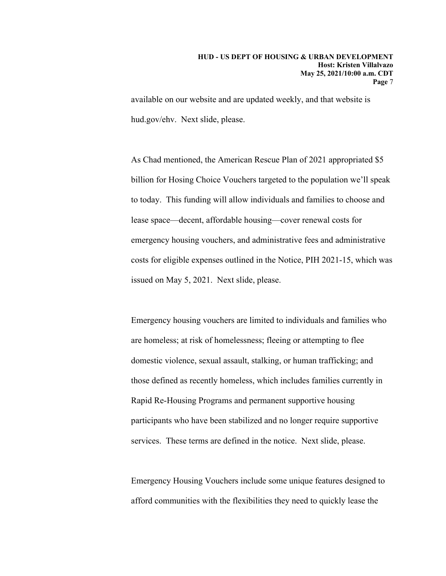available on our website and are updated weekly, and that website is hud.gov/ehv. Next slide, please.

As Chad mentioned, the American Rescue Plan of 2021 appropriated \$5 billion for Hosing Choice Vouchers targeted to the population we'll speak to today. This funding will allow individuals and families to choose and lease space—decent, affordable housing—cover renewal costs for emergency housing vouchers, and administrative fees and administrative costs for eligible expenses outlined in the Notice, PIH 2021-15, which was issued on May 5, 2021. Next slide, please.

Emergency housing vouchers are limited to individuals and families who are homeless; at risk of homelessness; fleeing or attempting to flee domestic violence, sexual assault, stalking, or human trafficking; and those defined as recently homeless, which includes families currently in Rapid Re-Housing Programs and permanent supportive housing participants who have been stabilized and no longer require supportive services. These terms are defined in the notice. Next slide, please.

Emergency Housing Vouchers include some unique features designed to afford communities with the flexibilities they need to quickly lease the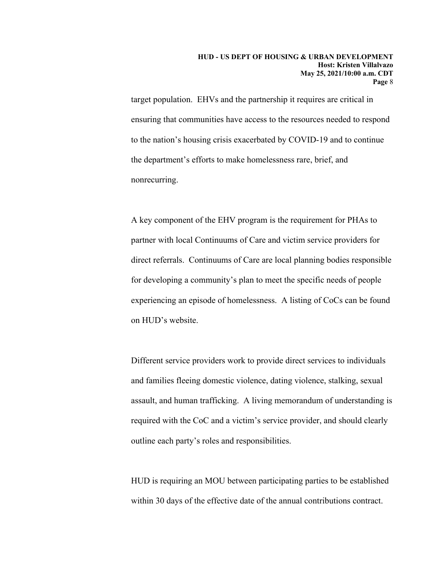target population. EHVs and the partnership it requires are critical in ensuring that communities have access to the resources needed to respond to the nation's housing crisis exacerbated by COVID-19 and to continue the department's efforts to make homelessness rare, brief, and nonrecurring.

A key component of the EHV program is the requirement for PHAs to partner with local Continuums of Care and victim service providers for direct referrals. Continuums of Care are local planning bodies responsible for developing a community's plan to meet the specific needs of people experiencing an episode of homelessness. A listing of CoCs can be found on HUD's website.

Different service providers work to provide direct services to individuals and families fleeing domestic violence, dating violence, stalking, sexual assault, and human trafficking. A living memorandum of understanding is required with the CoC and a victim's service provider, and should clearly outline each party's roles and responsibilities.

HUD is requiring an MOU between participating parties to be established within 30 days of the effective date of the annual contributions contract.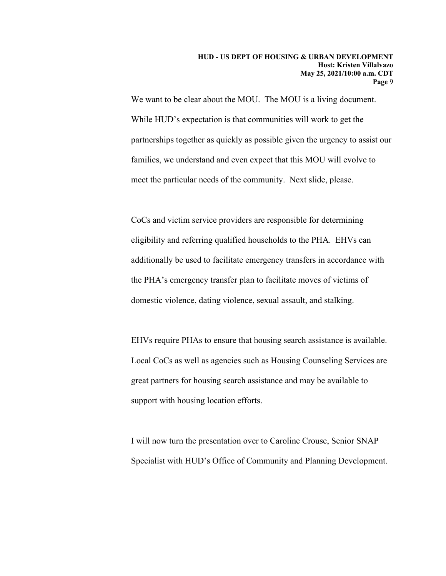We want to be clear about the MOU. The MOU is a living document. While HUD's expectation is that communities will work to get the partnerships together as quickly as possible given the urgency to assist our families, we understand and even expect that this MOU will evolve to meet the particular needs of the community. Next slide, please.

CoCs and victim service providers are responsible for determining eligibility and referring qualified households to the PHA. EHVs can additionally be used to facilitate emergency transfers in accordance with the PHA's emergency transfer plan to facilitate moves of victims of domestic violence, dating violence, sexual assault, and stalking.

EHVs require PHAs to ensure that housing search assistance is available. Local CoCs as well as agencies such as Housing Counseling Services are great partners for housing search assistance and may be available to support with housing location efforts.

I will now turn the presentation over to Caroline Crouse, Senior SNAP Specialist with HUD's Office of Community and Planning Development.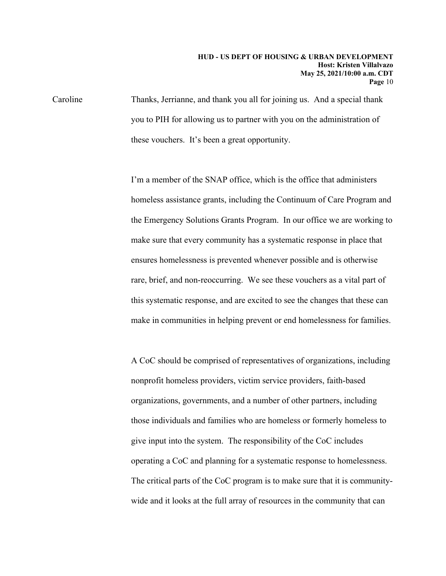Caroline Thanks, Jerrianne, and thank you all for joining us. And a special thank you to PIH for allowing us to partner with you on the administration of these vouchers. It's been a great opportunity.

> I'm a member of the SNAP office, which is the office that administers homeless assistance grants, including the Continuum of Care Program and the Emergency Solutions Grants Program. In our office we are working to make sure that every community has a systematic response in place that ensures homelessness is prevented whenever possible and is otherwise rare, brief, and non-reoccurring. We see these vouchers as a vital part of this systematic response, and are excited to see the changes that these can make in communities in helping prevent or end homelessness for families.

> A CoC should be comprised of representatives of organizations, including nonprofit homeless providers, victim service providers, faith-based organizations, governments, and a number of other partners, including those individuals and families who are homeless or formerly homeless to give input into the system. The responsibility of the CoC includes operating a CoC and planning for a systematic response to homelessness. The critical parts of the CoC program is to make sure that it is communitywide and it looks at the full array of resources in the community that can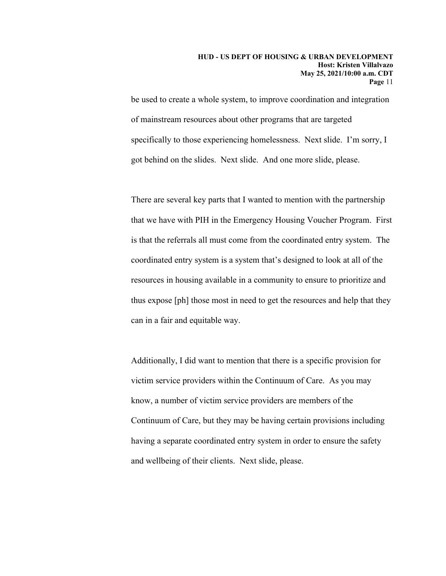be used to create a whole system, to improve coordination and integration of mainstream resources about other programs that are targeted specifically to those experiencing homelessness. Next slide. I'm sorry, I got behind on the slides. Next slide. And one more slide, please.

There are several key parts that I wanted to mention with the partnership that we have with PIH in the Emergency Housing Voucher Program. First is that the referrals all must come from the coordinated entry system. The coordinated entry system is a system that's designed to look at all of the resources in housing available in a community to ensure to prioritize and thus expose [ph] those most in need to get the resources and help that they can in a fair and equitable way.

Additionally, I did want to mention that there is a specific provision for victim service providers within the Continuum of Care. As you may know, a number of victim service providers are members of the Continuum of Care, but they may be having certain provisions including having a separate coordinated entry system in order to ensure the safety and wellbeing of their clients. Next slide, please.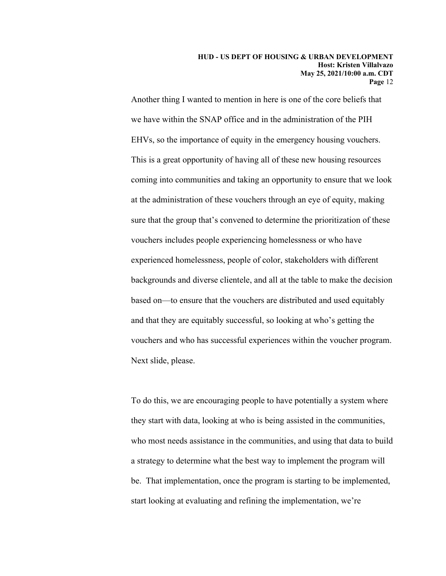Another thing I wanted to mention in here is one of the core beliefs that we have within the SNAP office and in the administration of the PIH EHVs, so the importance of equity in the emergency housing vouchers. This is a great opportunity of having all of these new housing resources coming into communities and taking an opportunity to ensure that we look at the administration of these vouchers through an eye of equity, making sure that the group that's convened to determine the prioritization of these vouchers includes people experiencing homelessness or who have experienced homelessness, people of color, stakeholders with different backgrounds and diverse clientele, and all at the table to make the decision based on—to ensure that the vouchers are distributed and used equitably and that they are equitably successful, so looking at who's getting the vouchers and who has successful experiences within the voucher program. Next slide, please.

To do this, we are encouraging people to have potentially a system where they start with data, looking at who is being assisted in the communities, who most needs assistance in the communities, and using that data to build a strategy to determine what the best way to implement the program will be. That implementation, once the program is starting to be implemented, start looking at evaluating and refining the implementation, we're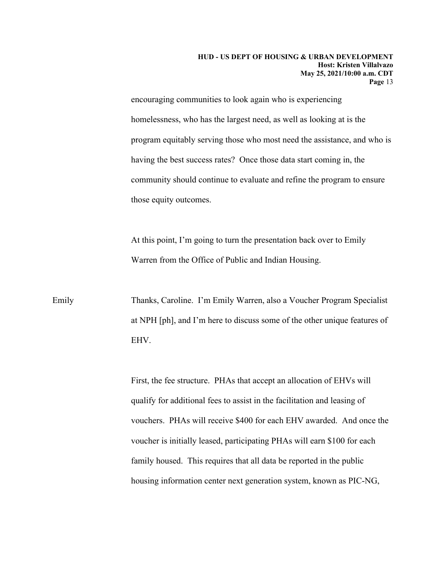encouraging communities to look again who is experiencing homelessness, who has the largest need, as well as looking at is the program equitably serving those who most need the assistance, and who is having the best success rates? Once those data start coming in, the community should continue to evaluate and refine the program to ensure those equity outcomes.

At this point, I'm going to turn the presentation back over to Emily Warren from the Office of Public and Indian Housing.

Emily Thanks, Caroline. I'm Emily Warren, also a Voucher Program Specialist at NPH [ph], and I'm here to discuss some of the other unique features of EHV.

> First, the fee structure. PHAs that accept an allocation of EHVs will qualify for additional fees to assist in the facilitation and leasing of vouchers. PHAs will receive \$400 for each EHV awarded. And once the voucher is initially leased, participating PHAs will earn \$100 for each family housed. This requires that all data be reported in the public housing information center next generation system, known as PIC-NG,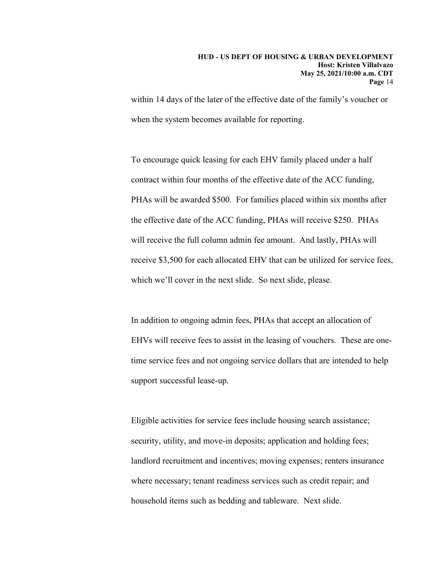within 14 days of the later of the effective date of the family's voucher or when the system becomes available for reporting.

To encourage quick leasing for each EHV family placed under a half contract within four months of the effective date of the ACC funding, PHAs will be awarded \$500. For families placed within six months after the effective date of the ACC funding, PHAs will receive \$250. PHAs will receive the full column admin fee amount. And lastly, PHAs will receive \$3,500 for each allocated EHV that can be utilized for service fees, which we'll cover in the next slide. So next slide, please.

In addition to ongoing admin fees, PHAs that accept an allocation of EHVs will receive fees to assist in the leasing of vouchers. These are onetime service fees and not ongoing service dollars that are intended to help support successful lease-up.

Eligible activities for service fees include housing search assistance; security, utility, and move-in deposits; application and holding fees; landlord recruitment and incentives; moving expenses; renters insurance where necessary; tenant readiness services such as credit repair; and household items such as bedding and tableware. Next slide.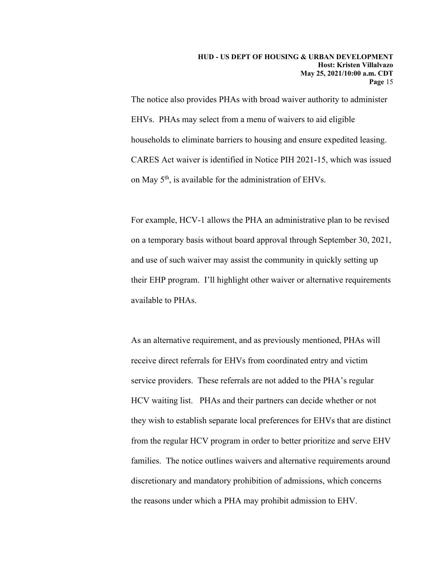The notice also provides PHAs with broad waiver authority to administer EHVs. PHAs may select from a menu of waivers to aid eligible households to eliminate barriers to housing and ensure expedited leasing. CARES Act waiver is identified in Notice PIH 2021-15, which was issued on May 5<sup>th</sup>, is available for the administration of EHVs.

For example, HCV-1 allows the PHA an administrative plan to be revised on a temporary basis without board approval through September 30, 2021, and use of such waiver may assist the community in quickly setting up their EHP program. I'll highlight other waiver or alternative requirements available to PHAs.

As an alternative requirement, and as previously mentioned, PHAs will receive direct referrals for EHVs from coordinated entry and victim service providers. These referrals are not added to the PHA's regular HCV waiting list. PHAs and their partners can decide whether or not they wish to establish separate local preferences for EHVs that are distinct from the regular HCV program in order to better prioritize and serve EHV families. The notice outlines waivers and alternative requirements around discretionary and mandatory prohibition of admissions, which concerns the reasons under which a PHA may prohibit admission to EHV.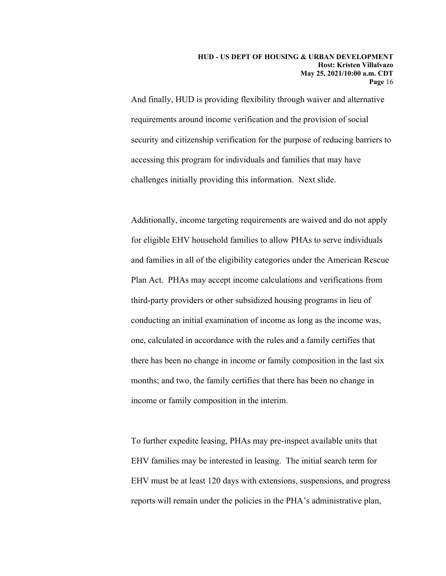And finally, HUD is providing flexibility through waiver and alternative requirements around income verification and the provision of social security and citizenship verification for the purpose of reducing barriers to accessing this program for individuals and families that may have challenges initially providing this information. Next slide.

Additionally, income targeting requirements are waived and do not apply for eligible EHV household families to allow PHAs to serve individuals and families in all of the eligibility categories under the American Rescue Plan Act. PHAs may accept income calculations and verifications from third-party providers or other subsidized housing programs in lieu of conducting an initial examination of income as long as the income was, one, calculated in accordance with the rules and a family certifies that there has been no change in income or family composition in the last six months; and two, the family certifies that there has been no change in income or family composition in the interim.

To further expedite leasing, PHAs may pre-inspect available units that EHV families may be interested in leasing. The initial search term for EHV must be at least 120 days with extensions, suspensions, and progress reports will remain under the policies in the PHA's administrative plan,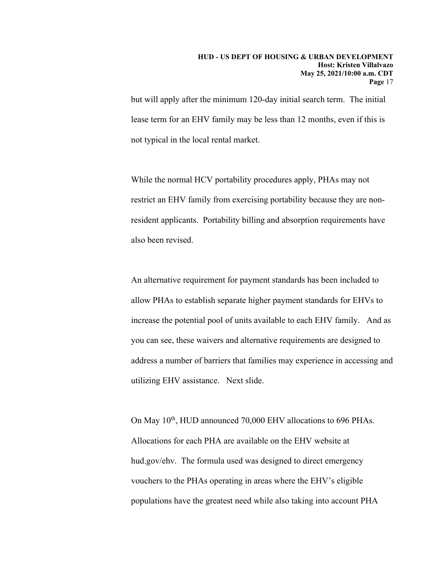but will apply after the minimum 120-day initial search term. The initial lease term for an EHV family may be less than 12 months, even if this is not typical in the local rental market.

While the normal HCV portability procedures apply, PHAs may not restrict an EHV family from exercising portability because they are nonresident applicants. Portability billing and absorption requirements have also been revised.

An alternative requirement for payment standards has been included to allow PHAs to establish separate higher payment standards for EHVs to increase the potential pool of units available to each EHV family. And as you can see, these waivers and alternative requirements are designed to address a number of barriers that families may experience in accessing and utilizing EHV assistance. Next slide.

On May 10<sup>th</sup>, HUD announced 70,000 EHV allocations to 696 PHAs. Allocations for each PHA are available on the EHV website at hud.gov/ehv. The formula used was designed to direct emergency vouchers to the PHAs operating in areas where the EHV's eligible populations have the greatest need while also taking into account PHA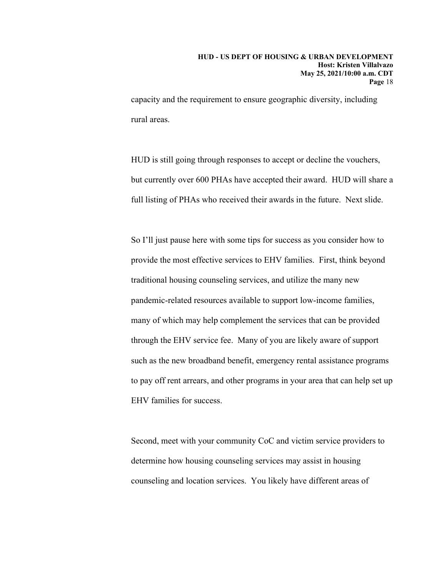capacity and the requirement to ensure geographic diversity, including rural areas.

HUD is still going through responses to accept or decline the vouchers, but currently over 600 PHAs have accepted their award. HUD will share a full listing of PHAs who received their awards in the future. Next slide.

So I'll just pause here with some tips for success as you consider how to provide the most effective services to EHV families. First, think beyond traditional housing counseling services, and utilize the many new pandemic-related resources available to support low-income families, many of which may help complement the services that can be provided through the EHV service fee. Many of you are likely aware of support such as the new broadband benefit, emergency rental assistance programs to pay off rent arrears, and other programs in your area that can help set up EHV families for success.

Second, meet with your community CoC and victim service providers to determine how housing counseling services may assist in housing counseling and location services. You likely have different areas of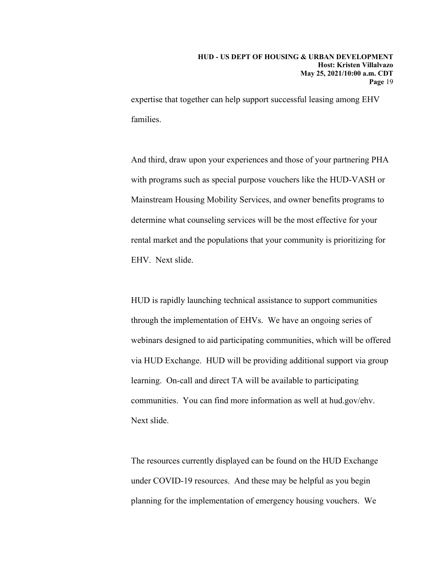expertise that together can help support successful leasing among EHV families.

And third, draw upon your experiences and those of your partnering PHA with programs such as special purpose vouchers like the HUD-VASH or Mainstream Housing Mobility Services, and owner benefits programs to determine what counseling services will be the most effective for your rental market and the populations that your community is prioritizing for EHV. Next slide.

HUD is rapidly launching technical assistance to support communities through the implementation of EHVs. We have an ongoing series of webinars designed to aid participating communities, which will be offered via HUD Exchange. HUD will be providing additional support via group learning. On-call and direct TA will be available to participating communities. You can find more information as well at hud.gov/ehv. Next slide.

The resources currently displayed can be found on the HUD Exchange under COVID-19 resources. And these may be helpful as you begin planning for the implementation of emergency housing vouchers. We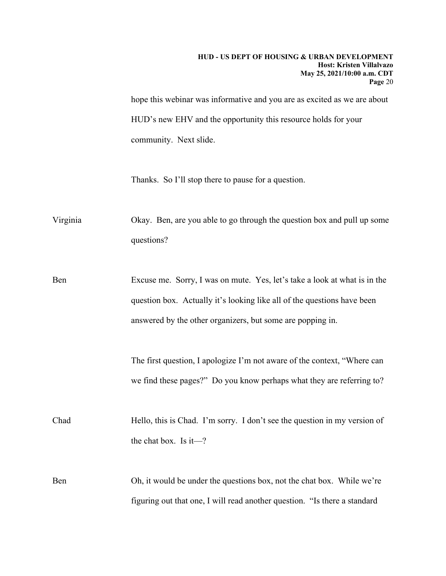hope this webinar was informative and you are as excited as we are about HUD's new EHV and the opportunity this resource holds for your community. Next slide.

Thanks. So I'll stop there to pause for a question.

Virginia Okay. Ben, are you able to go through the question box and pull up some questions?

Ben Excuse me. Sorry, I was on mute. Yes, let's take a look at what is in the question box. Actually it's looking like all of the questions have been answered by the other organizers, but some are popping in.

> The first question, I apologize I'm not aware of the context, "Where can we find these pages?" Do you know perhaps what they are referring to?

Chad Hello, this is Chad. I'm sorry. I don't see the question in my version of the chat box. Is it—?

Ben Oh, it would be under the questions box, not the chat box. While we're figuring out that one, I will read another question. "Is there a standard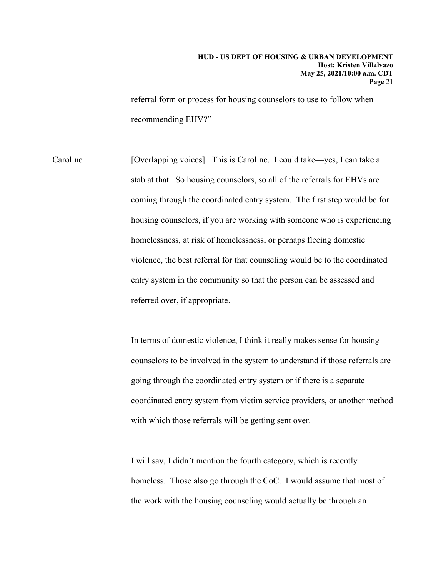referral form or process for housing counselors to use to follow when recommending EHV?"

Caroline [Overlapping voices]. This is Caroline. I could take—yes, I can take a stab at that. So housing counselors, so all of the referrals for EHVs are coming through the coordinated entry system. The first step would be for housing counselors, if you are working with someone who is experiencing homelessness, at risk of homelessness, or perhaps fleeing domestic violence, the best referral for that counseling would be to the coordinated entry system in the community so that the person can be assessed and referred over, if appropriate.

> In terms of domestic violence, I think it really makes sense for housing counselors to be involved in the system to understand if those referrals are going through the coordinated entry system or if there is a separate coordinated entry system from victim service providers, or another method with which those referrals will be getting sent over.

I will say, I didn't mention the fourth category, which is recently homeless. Those also go through the CoC. I would assume that most of the work with the housing counseling would actually be through an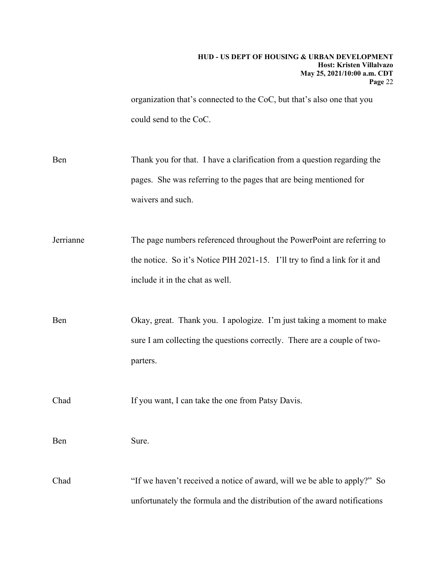organization that's connected to the CoC, but that's also one that you could send to the CoC.

Ben Thank you for that. I have a clarification from a question regarding the pages. She was referring to the pages that are being mentioned for waivers and such.

Jerrianne The page numbers referenced throughout the PowerPoint are referring to the notice. So it's Notice PIH 2021-15. I'll try to find a link for it and include it in the chat as well.

Ben Okay, great. Thank you. I apologize. I'm just taking a moment to make sure I am collecting the questions correctly. There are a couple of twoparters.

Chad If you want, I can take the one from Patsy Davis.

Ben Sure.

Chad "If we haven't received a notice of award, will we be able to apply?" So unfortunately the formula and the distribution of the award notifications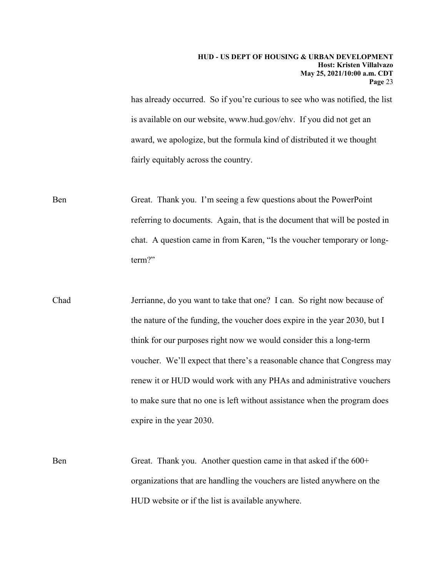has already occurred. So if you're curious to see who was notified, the list is available on our website, www.hud.gov/ehv. If you did not get an award, we apologize, but the formula kind of distributed it we thought fairly equitably across the country.

Ben Great. Thank you. I'm seeing a few questions about the PowerPoint referring to documents. Again, that is the document that will be posted in chat. A question came in from Karen, "Is the voucher temporary or longterm?"

- Chad Jerrianne, do you want to take that one? I can. So right now because of the nature of the funding, the voucher does expire in the year 2030, but I think for our purposes right now we would consider this a long-term voucher. We'll expect that there's a reasonable chance that Congress may renew it or HUD would work with any PHAs and administrative vouchers to make sure that no one is left without assistance when the program does expire in the year 2030.
- Ben Great. Thank you. Another question came in that asked if the 600+ organizations that are handling the vouchers are listed anywhere on the HUD website or if the list is available anywhere.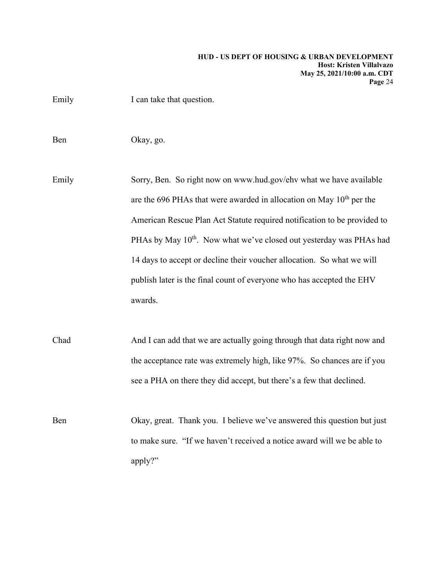| Ben   | Okay, go.                                                                       |
|-------|---------------------------------------------------------------------------------|
| Emily | Sorry, Ben. So right now on www.hud.gov/ehv what we have available              |
|       | are the 696 PHAs that were awarded in allocation on May $10^{th}$ per the       |
|       | American Rescue Plan Act Statute required notification to be provided to        |
|       | PHAs by May 10 <sup>th</sup> . Now what we've closed out yesterday was PHAs has |

Emily I can take that question.

ation on May  $10^{th}$  per the notification to be provided to out yesterday was PHAs had 14 days to accept or decline their voucher allocation. So what we will publish later is the final count of everyone who has accepted the EHV awards.

Chad And I can add that we are actually going through that data right now and the acceptance rate was extremely high, like 97%. So chances are if you see a PHA on there they did accept, but there's a few that declined.

Ben Okay, great. Thank you. I believe we've answered this question but just to make sure. "If we haven't received a notice award will we be able to apply?"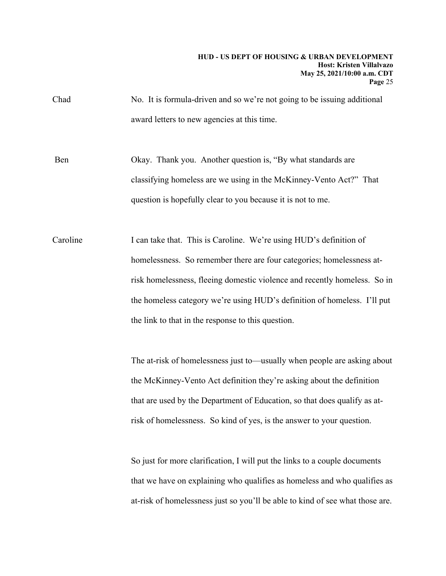Chad No. It is formula-driven and so we're not going to be issuing additional award letters to new agencies at this time.

Ben Okay. Thank you. Another question is, "By what standards are classifying homeless are we using in the McKinney-Vento Act?" That question is hopefully clear to you because it is not to me.

Caroline I can take that. This is Caroline. We're using HUD's definition of homelessness. So remember there are four categories; homelessness atrisk homelessness, fleeing domestic violence and recently homeless. So in the homeless category we're using HUD's definition of homeless. I'll put the link to that in the response to this question.

> The at-risk of homelessness just to—usually when people are asking about the McKinney-Vento Act definition they're asking about the definition that are used by the Department of Education, so that does qualify as atrisk of homelessness. So kind of yes, is the answer to your question.

> So just for more clarification, I will put the links to a couple documents that we have on explaining who qualifies as homeless and who qualifies as at-risk of homelessness just so you'll be able to kind of see what those are.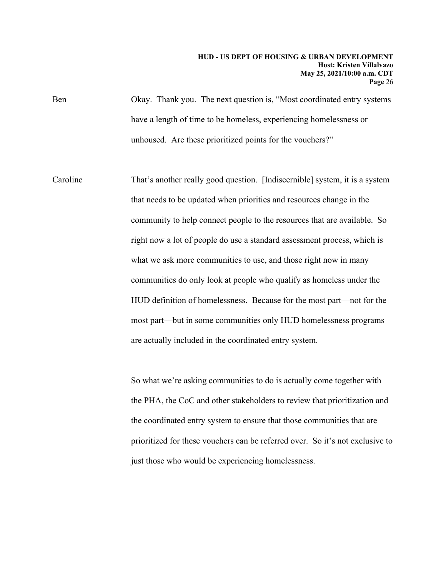Ben Okay. Thank you. The next question is, "Most coordinated entry systems have a length of time to be homeless, experiencing homelessness or unhoused. Are these prioritized points for the vouchers?"

Caroline That's another really good question. [Indiscernible] system, it is a system that needs to be updated when priorities and resources change in the community to help connect people to the resources that are available. So right now a lot of people do use a standard assessment process, which is what we ask more communities to use, and those right now in many communities do only look at people who qualify as homeless under the HUD definition of homelessness. Because for the most part—not for the most part—but in some communities only HUD homelessness programs are actually included in the coordinated entry system.

> So what we're asking communities to do is actually come together with the PHA, the CoC and other stakeholders to review that prioritization and the coordinated entry system to ensure that those communities that are prioritized for these vouchers can be referred over. So it's not exclusive to just those who would be experiencing homelessness.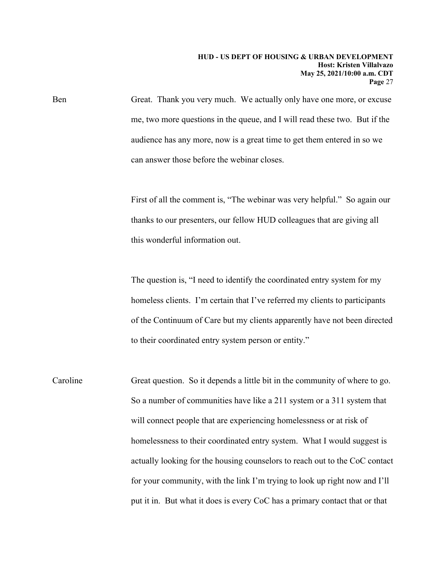Ben Great. Thank you very much. We actually only have one more, or excuse me, two more questions in the queue, and I will read these two. But if the audience has any more, now is a great time to get them entered in so we can answer those before the webinar closes.

> First of all the comment is, "The webinar was very helpful." So again our thanks to our presenters, our fellow HUD colleagues that are giving all this wonderful information out.

The question is, "I need to identify the coordinated entry system for my homeless clients. I'm certain that I've referred my clients to participants of the Continuum of Care but my clients apparently have not been directed to their coordinated entry system person or entity."

Caroline Great question. So it depends a little bit in the community of where to go. So a number of communities have like a 211 system or a 311 system that will connect people that are experiencing homelessness or at risk of homelessness to their coordinated entry system. What I would suggest is actually looking for the housing counselors to reach out to the CoC contact for your community, with the link I'm trying to look up right now and I'll put it in. But what it does is every CoC has a primary contact that or that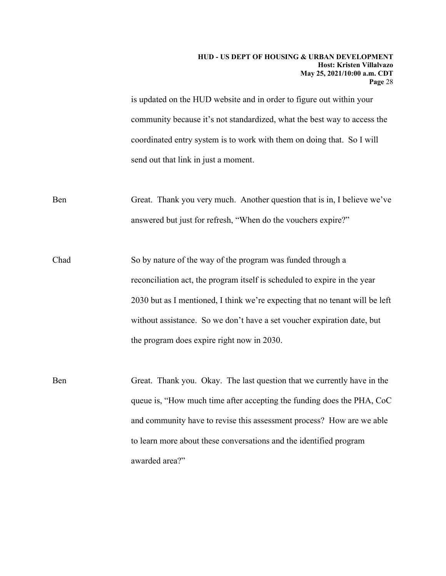is updated on the HUD website and in order to figure out within your community because it's not standardized, what the best way to access the coordinated entry system is to work with them on doing that. So I will send out that link in just a moment.

Ben Great. Thank you very much. Another question that is in, I believe we've answered but just for refresh, "When do the vouchers expire?"

Chad So by nature of the way of the program was funded through a reconciliation act, the program itself is scheduled to expire in the year 2030 but as I mentioned, I think we're expecting that no tenant will be left without assistance. So we don't have a set voucher expiration date, but the program does expire right now in 2030.

Ben Great. Thank you. Okay. The last question that we currently have in the queue is, "How much time after accepting the funding does the PHA, CoC and community have to revise this assessment process? How are we able to learn more about these conversations and the identified program awarded area?"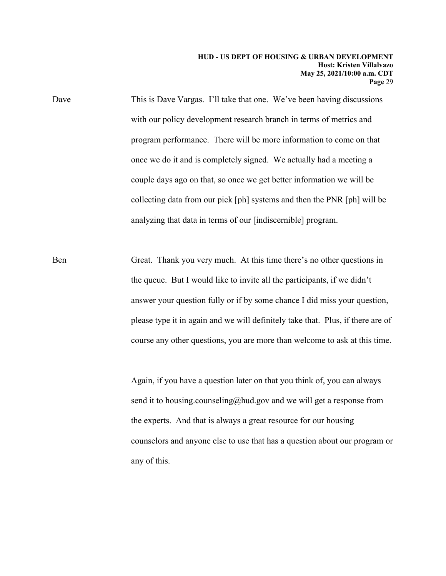Dave This is Dave Vargas. I'll take that one. We've been having discussions with our policy development research branch in terms of metrics and program performance. There will be more information to come on that once we do it and is completely signed. We actually had a meeting a couple days ago on that, so once we get better information we will be collecting data from our pick [ph] systems and then the PNR [ph] will be analyzing that data in terms of our [indiscernible] program.

Ben Great. Thank you very much. At this time there's no other questions in the queue. But I would like to invite all the participants, if we didn't answer your question fully or if by some chance I did miss your question, please type it in again and we will definitely take that. Plus, if there are of course any other questions, you are more than welcome to ask at this time.

> Again, if you have a question later on that you think of, you can always send it to housing.counseling@hud.gov and we will get a response from the experts. And that is always a great resource for our housing counselors and anyone else to use that has a question about our program or any of this.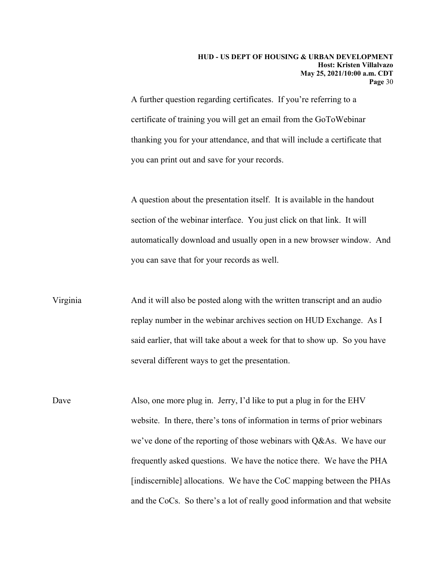A further question regarding certificates. If you're referring to a certificate of training you will get an email from the GoToWebinar thanking you for your attendance, and that will include a certificate that you can print out and save for your records.

A question about the presentation itself. It is available in the handout section of the webinar interface. You just click on that link. It will automatically download and usually open in a new browser window. And you can save that for your records as well.

Virginia And it will also be posted along with the written transcript and an audio replay number in the webinar archives section on HUD Exchange. As I said earlier, that will take about a week for that to show up. So you have several different ways to get the presentation.

Dave Also, one more plug in. Jerry, I'd like to put a plug in for the EHV website. In there, there's tons of information in terms of prior webinars we've done of the reporting of those webinars with Q&As. We have our frequently asked questions. We have the notice there. We have the PHA [indiscernible] allocations. We have the CoC mapping between the PHAs and the CoCs. So there's a lot of really good information and that website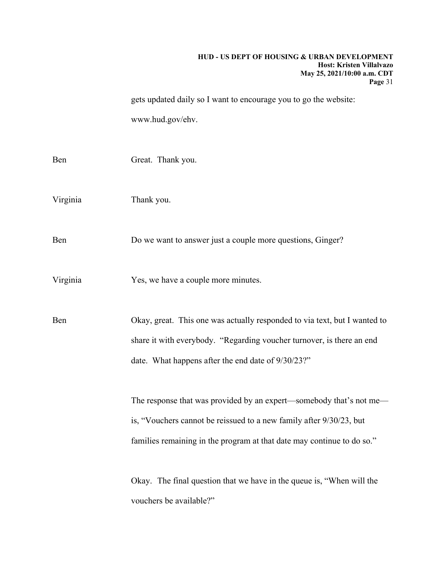gets updated daily so I want to encourage you to go the website: www.hud.gov/ehv.

| Ben      | Great. Thank you.                                                         |
|----------|---------------------------------------------------------------------------|
| Virginia | Thank you.                                                                |
| Ben      | Do we want to answer just a couple more questions, Ginger?                |
| Virginia | Yes, we have a couple more minutes.                                       |
| Ben      | Okay, great. This one was actually responded to via text, but I wanted to |
|          | share it with everybody. "Regarding voucher turnover, is there an end     |
|          | date. What happens after the end date of 9/30/23?"                        |
|          | The response that was provided by an expert—somebody that's not me—       |
|          | is, "Vouchers cannot be reissued to a new family after 9/30/23, but       |
|          | families remaining in the program at that date may continue to do so."    |
|          | Okay. The final question that we have in the queue is, "When will the     |
|          | vouchers be available?"                                                   |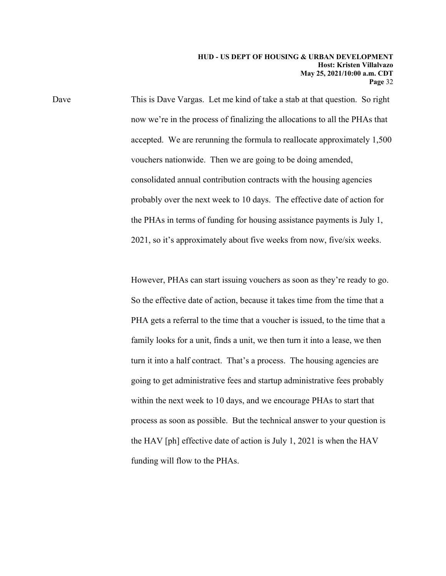Dave This is Dave Vargas. Let me kind of take a stab at that question. So right now we're in the process of finalizing the allocations to all the PHAs that accepted. We are rerunning the formula to reallocate approximately 1,500 vouchers nationwide. Then we are going to be doing amended, consolidated annual contribution contracts with the housing agencies probably over the next week to 10 days. The effective date of action for the PHAs in terms of funding for housing assistance payments is July 1, 2021, so it's approximately about five weeks from now, five/six weeks.

> However, PHAs can start issuing vouchers as soon as they're ready to go. So the effective date of action, because it takes time from the time that a PHA gets a referral to the time that a voucher is issued, to the time that a family looks for a unit, finds a unit, we then turn it into a lease, we then turn it into a half contract. That's a process. The housing agencies are going to get administrative fees and startup administrative fees probably within the next week to 10 days, and we encourage PHAs to start that process as soon as possible. But the technical answer to your question is the HAV [ph] effective date of action is July 1, 2021 is when the HAV funding will flow to the PHAs.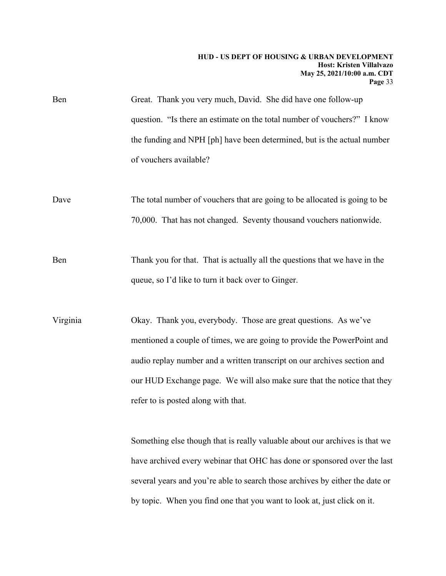Ben Great. Thank you very much, David. She did have one follow-up question. "Is there an estimate on the total number of vouchers?" I know the funding and NPH [ph] have been determined, but is the actual number of vouchers available?

Dave The total number of vouchers that are going to be allocated is going to be 70,000. That has not changed. Seventy thousand vouchers nationwide.

Ben Thank you for that. That is actually all the questions that we have in the queue, so I'd like to turn it back over to Ginger.

Virginia Okay. Thank you, everybody. Those are great questions. As we've mentioned a couple of times, we are going to provide the PowerPoint and audio replay number and a written transcript on our archives section and our HUD Exchange page. We will also make sure that the notice that they refer to is posted along with that.

> Something else though that is really valuable about our archives is that we have archived every webinar that OHC has done or sponsored over the last several years and you're able to search those archives by either the date or by topic. When you find one that you want to look at, just click on it.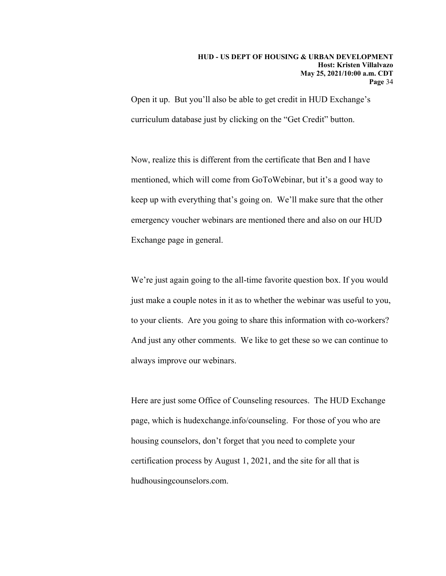Open it up. But you'll also be able to get credit in HUD Exchange's curriculum database just by clicking on the "Get Credit" button.

Now, realize this is different from the certificate that Ben and I have mentioned, which will come from GoToWebinar, but it's a good way to keep up with everything that's going on. We'll make sure that the other emergency voucher webinars are mentioned there and also on our HUD Exchange page in general.

We're just again going to the all-time favorite question box. If you would just make a couple notes in it as to whether the webinar was useful to you, to your clients. Are you going to share this information with co-workers? And just any other comments. We like to get these so we can continue to always improve our webinars.

Here are just some Office of Counseling resources. The HUD Exchange page, which is hudexchange.info/counseling. For those of you who are housing counselors, don't forget that you need to complete your certification process by August 1, 2021, and the site for all that is hudhousingcounselors.com.